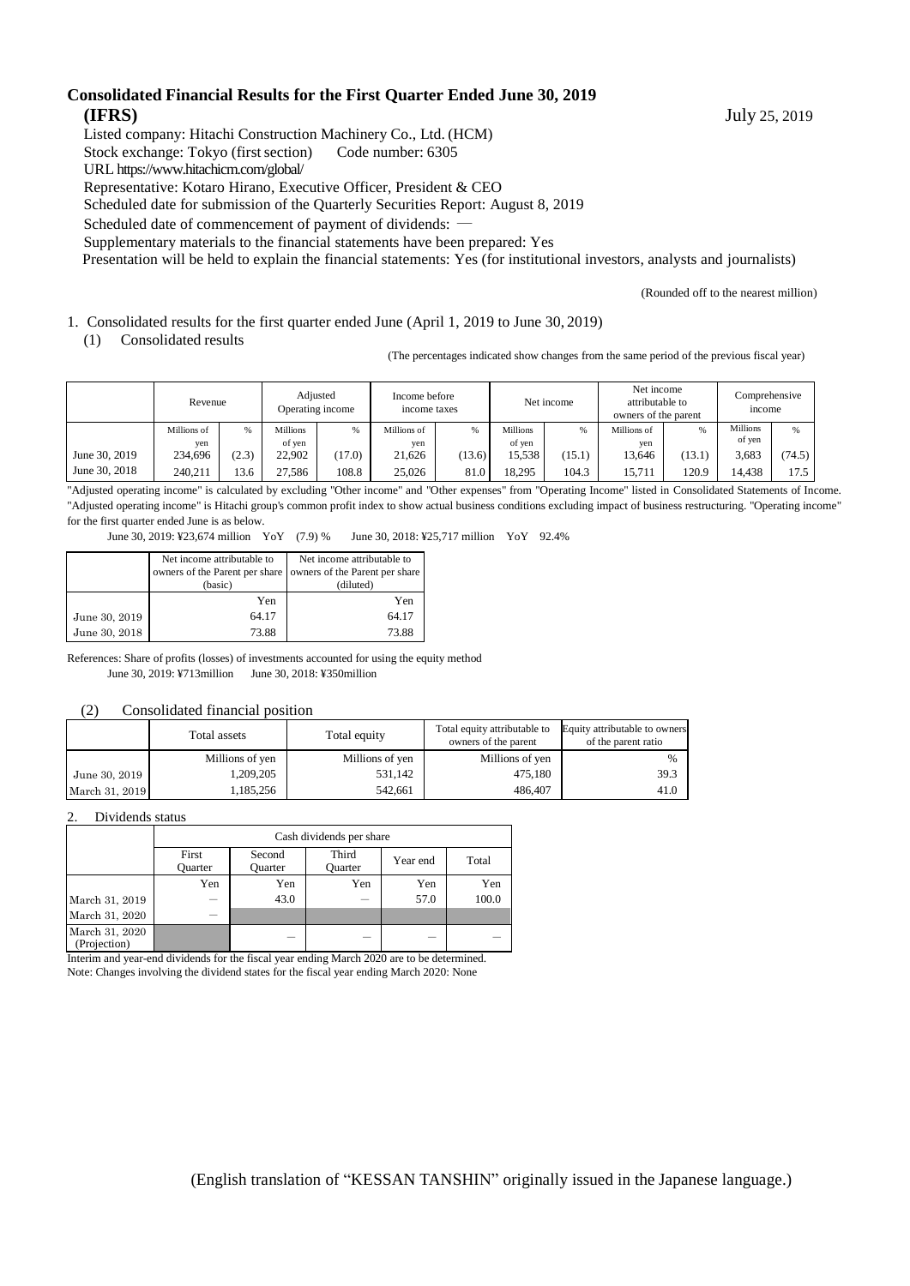#### **Consolidated Financial Results for the First Quarter Ended June 30, 2019 (IFRS)** July 25, 2019

Listed company: Hitachi Construction Machinery Co., Ltd. (HCM)

Stock exchange: Tokyo (first section) Code number: 6305

URL https://www.hitachicm.com/global/

Representative: Kotaro Hirano, Executive Officer, President & CEO

Scheduled date for submission of the Quarterly Securities Report: August 8, 2019

Scheduled date of commencement of payment of dividends: -

Supplementary materials to the financial statements have been prepared: Yes

Presentation will be held to explain the financial statements: Yes (for institutional investors, analysts and journalists)

(Rounded off to the nearest million)

#### 1. Consolidated results for the first quarter ended June (April 1, 2019 to June 30, 2019)

(1) Consolidated results

(The percentages indicated show changes from the same period of the previous fiscal year)

|               | Revenue     |       |                 | Adjusted<br>Operating income | Income before<br>income taxes |        |                 | Net income | Net income<br>attributable to<br>owners of the parent |        | Comprehensive<br>income |        |
|---------------|-------------|-------|-----------------|------------------------------|-------------------------------|--------|-----------------|------------|-------------------------------------------------------|--------|-------------------------|--------|
|               | Millions of | %     | <b>Millions</b> | %                            | Millions of                   |        | <b>Millions</b> | %          | Millions of                                           | %      | <b>Millions</b>         | $\%$   |
|               | ven         |       | of ven          |                              | ven                           |        | of ven          |            | ven                                                   |        | of yen                  |        |
| June 30, 2019 | 234,696     | (2.3) | 22.902          | (17.0)                       | 21,626                        | (13.6) | 15.538          | (15.1)     | 13.646                                                | (13.1) | 3,683                   | (74.5) |
| June 30, 2018 | 240.211     | 13.6  | 27.586          | 108.8                        | 25.026                        | 81.0   | 18.295          | 104.3      | 15.711                                                | 120.9  | 4.438                   | 17.5   |

"Adjusted operating income" is calculated by excluding "Other income" and "Other expenses" from "Operating Income" listed in Consolidated Statements of Income. "Adjusted operating income" is Hitachi group's common profit index to show actual business conditions excluding impact of business restructuring. "Operating income" for the first quarter ended June is as below.

June 30, 2019: ¥23,674 million YoY (7.9) % June 30, 2018: ¥25,717 million YoY 92.4%

|               | Net income attributable to     | Net income attributable to     |
|---------------|--------------------------------|--------------------------------|
|               | owners of the Parent per share | owners of the Parent per share |
|               | (basic)                        | (diluted)                      |
|               | Yen                            | Yen                            |
| June 30, 2019 | 64.17                          | 64.17                          |
| June 30, 2018 | 73.88                          | 73.88                          |

References: Share of profits (losses) of investments accounted for using the equity method June 30, 2019: ¥713million June 30, 2018: ¥350million

#### (2) Consolidated financial position

|                | Total assets    | Total equity    | Total equity attributable to<br>owners of the parent | Equity attributable to owners<br>of the parent ratio |
|----------------|-----------------|-----------------|------------------------------------------------------|------------------------------------------------------|
|                | Millions of yen | Millions of yen | Millions of yen                                      | %                                                    |
| June 30, 2019  | 1,209,205       | 531,142         | 475.180                                              | 39.3                                                 |
| March 31, 2019 | 1,185,256       | 542.661         | 486,407                                              | 41.0                                                 |

#### 2. Dividends status

|                                | Cash dividends per share |                   |                         |          |       |  |  |
|--------------------------------|--------------------------|-------------------|-------------------------|----------|-------|--|--|
|                                | First<br><b>Ouarter</b>  | Second<br>Ouarter | Third<br><b>Ouarter</b> | Year end | Total |  |  |
|                                | Yen                      | Yen               | Yen                     | Yen      | Yen   |  |  |
| March 31, 2019                 |                          | 43.0              |                         | 57.0     | 100.0 |  |  |
| March 31, 2020                 |                          |                   |                         |          |       |  |  |
| March 31, 2020<br>(Projection) |                          | -                 |                         | _        |       |  |  |

Interim and year-end dividends for the fiscal year ending March 2020 are to be determined. Note: Changes involving the dividend states for the fiscal year ending March 2020: None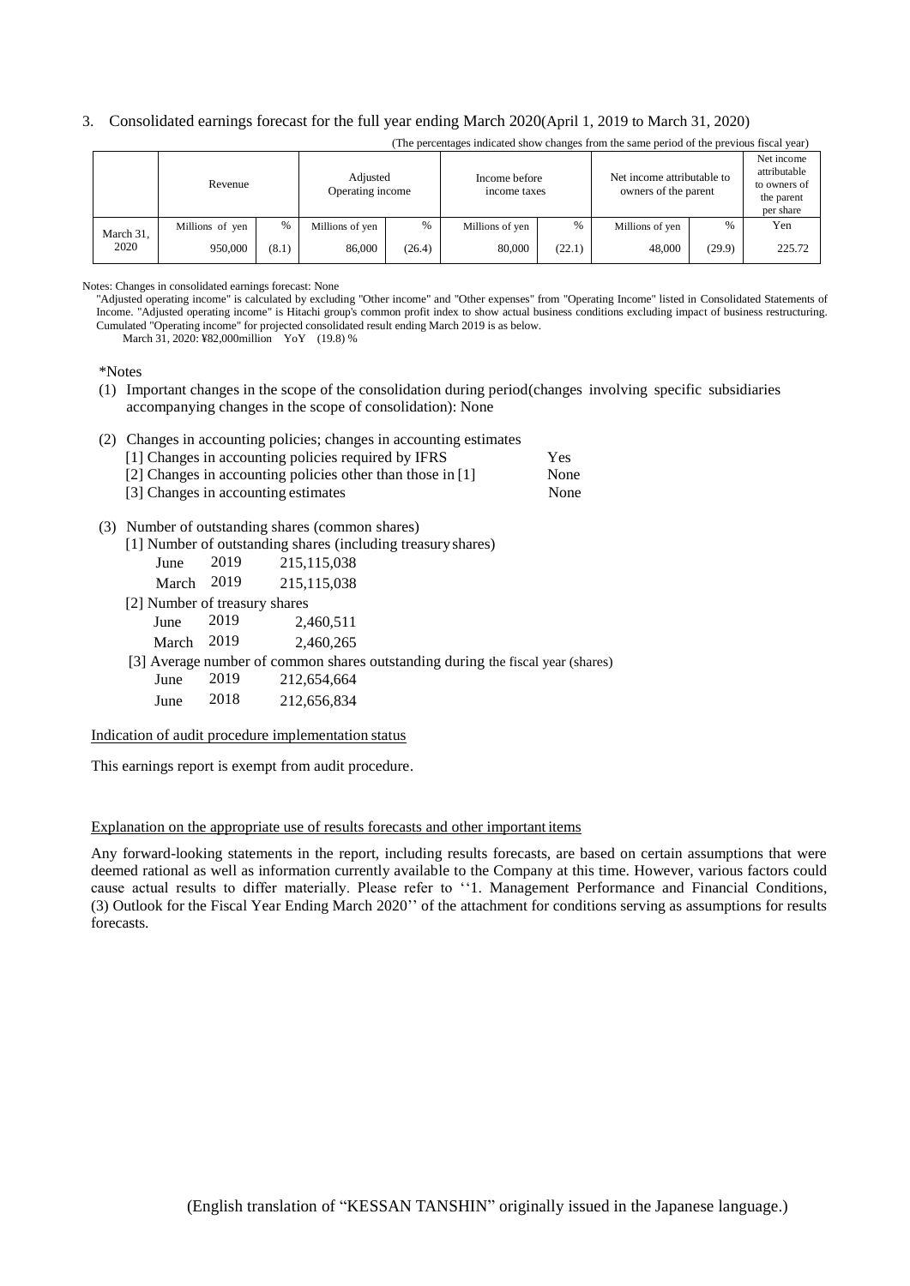#### 3. Consolidated earnings forecast for the full year ending March 2020(April 1, 2019 to March 31, 2020)

|           | Revenue         |       | Adjusted<br>Operating income |        | Income before<br>income taxes |        | Net income attributable to<br>owners of the parent |        | Net income<br>attributable<br>to owners of<br>the parent<br>per share |
|-----------|-----------------|-------|------------------------------|--------|-------------------------------|--------|----------------------------------------------------|--------|-----------------------------------------------------------------------|
| March 31, | Millions of yen | %     | Millions of yen              | %      | Millions of yen               | %      | Millions of yen                                    | $\%$   | Yen                                                                   |
| 2020      | 950,000         | (8.1) | 86,000                       | (26.4) | 80,000                        | (22.1) | 48,000                                             | (29.9) | 225.72                                                                |

(The percentages indicated show changes from the same period of the previous fiscal year)

Notes: Changes in consolidated earnings forecast: None

"Adjusted operating income" is calculated by excluding "Other income" and "Other expenses" from "Operating Income" listed in Consolidated Statements of Income. "Adjusted operating income" is Hitachi group's common profit index to show actual business conditions excluding impact of business restructuring. Cumulated "Operating income" for projected consolidated result ending March 2019 is as below.

March 31, 2020: ¥82,000million YoY (19.8) %

\*Notes

(1) Important changes in the scope of the consolidation during period(changes involving specific subsidiaries accompanying changes in the scope of consolidation): None

#### (2) Changes in accounting policies; changes in accounting estimates

| [1] Changes in accounting policies required by IFRS        | Yes  |
|------------------------------------------------------------|------|
| [2] Changes in accounting policies other than those in [1] | None |
| [3] Changes in accounting estimates                        | None |

#### (3) Number of outstanding shares (common shares)

[1] Number of outstanding shares (including treasuryshares)

| June  | 2019 | 215, 115, 038 |
|-------|------|---------------|
| March | 2019 | 215, 115, 038 |

[2] Number of treasury shares

June 2019 2,460,511

March 2019 2,460,265

[3] Average number of common shares outstanding during the fiscal year (shares)

June 2019 212,654,664

June 2018 212,656,834

Indication of audit procedure implementation status

This earnings report is exempt from audit procedure.

#### Explanation on the appropriate use of results forecasts and other important items

Any forward-looking statements in the report, including results forecasts, are based on certain assumptions that were deemed rational as well as information currently available to the Company at this time. However, various factors could cause actual results to differ materially. Please refer to ''1. Management Performance and Financial Conditions, (3) Outlook for the Fiscal Year Ending March 2020'' of the attachment for conditions serving as assumptions for results forecasts.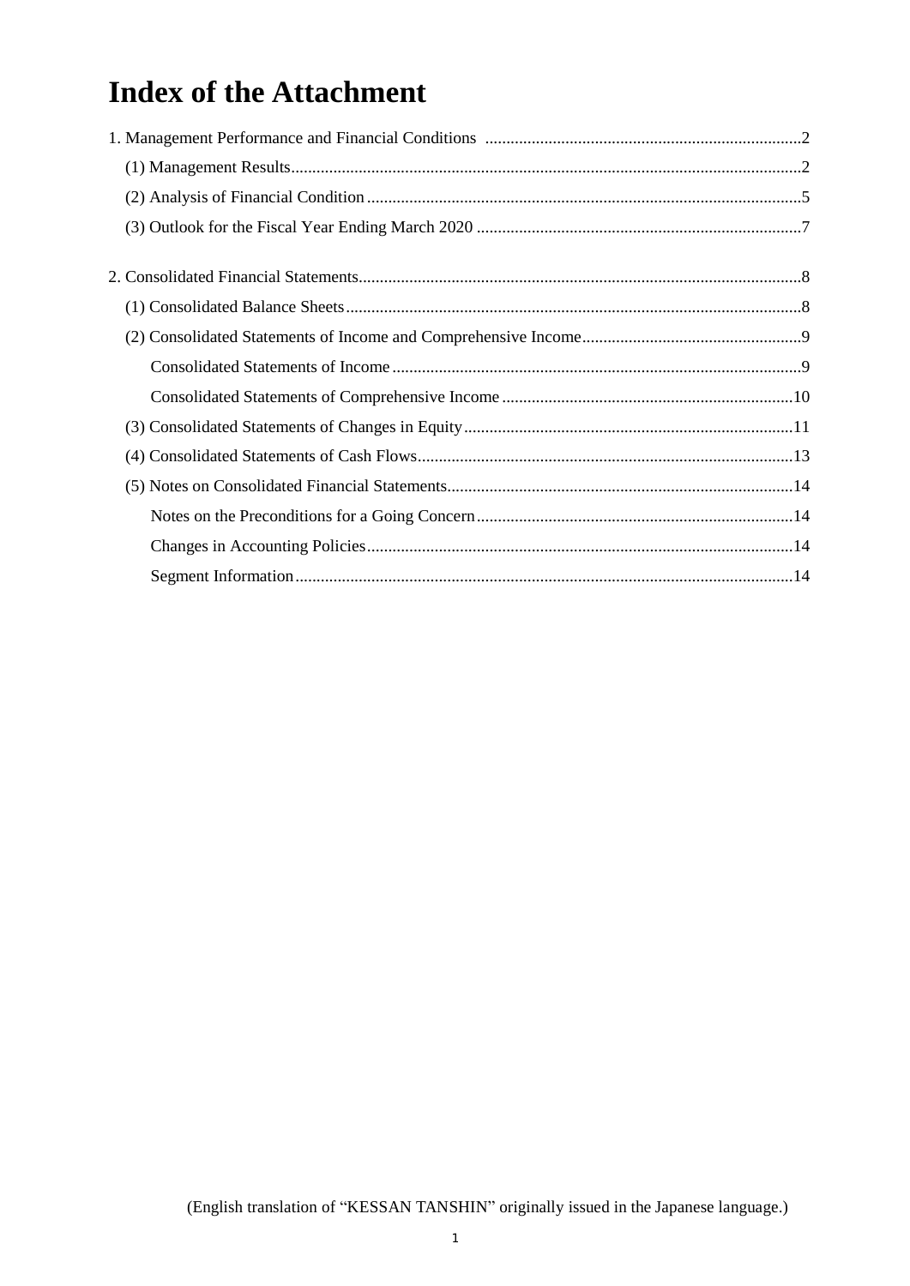# **Index of the Attachment**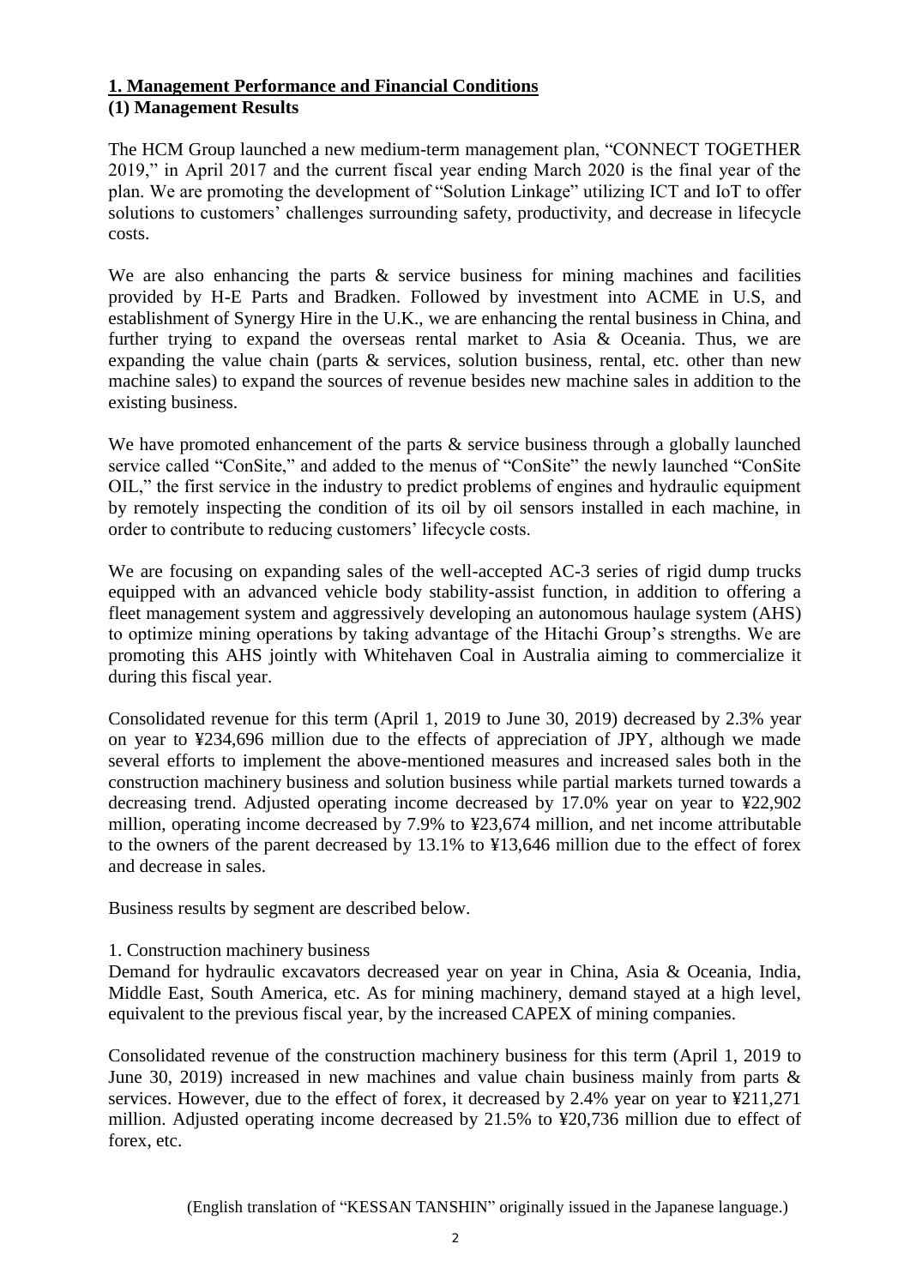## **1. Management Performance and Financial Conditions (1) Management Results**

The HCM Group launched a new medium-term management plan, "CONNECT TOGETHER 2019," in April 2017 and the current fiscal year ending March 2020 is the final year of the plan. We are promoting the development of "Solution Linkage" utilizing ICT and IoT to offer solutions to customers' challenges surrounding safety, productivity, and decrease in lifecycle costs.

We are also enhancing the parts & service business for mining machines and facilities provided by H-E Parts and Bradken. Followed by investment into ACME in U.S, and establishment of Synergy Hire in the U.K., we are enhancing the rental business in China, and further trying to expand the overseas rental market to Asia & Oceania. Thus, we are expanding the value chain (parts  $\&$  services, solution business, rental, etc. other than new machine sales) to expand the sources of revenue besides new machine sales in addition to the existing business.

We have promoted enhancement of the parts & service business through a globally launched service called "ConSite," and added to the menus of "ConSite" the newly launched "ConSite OIL," the first service in the industry to predict problems of engines and hydraulic equipment by remotely inspecting the condition of its oil by oil sensors installed in each machine, in order to contribute to reducing customers' lifecycle costs.

We are focusing on expanding sales of the well-accepted AC-3 series of rigid dump trucks equipped with an advanced vehicle body stability-assist function, in addition to offering a fleet management system and aggressively developing an autonomous haulage system (AHS) to optimize mining operations by taking advantage of the Hitachi Group's strengths. We are promoting this AHS jointly with Whitehaven Coal in Australia aiming to commercialize it during this fiscal year.

Consolidated revenue for this term (April 1, 2019 to June 30, 2019) decreased by 2.3% year on year to ¥234,696 million due to the effects of appreciation of JPY, although we made several efforts to implement the above-mentioned measures and increased sales both in the construction machinery business and solution business while partial markets turned towards a decreasing trend. Adjusted operating income decreased by 17.0% year on year to ¥22,902 million, operating income decreased by 7.9% to ¥23,674 million, and net income attributable to the owners of the parent decreased by 13.1% to ¥13,646 million due to the effect of forex and decrease in sales.

Business results by segment are described below.

#### 1. Construction machinery business

Demand for hydraulic excavators decreased year on year in China, Asia & Oceania, India, Middle East, South America, etc. As for mining machinery, demand stayed at a high level, equivalent to the previous fiscal year, by the increased CAPEX of mining companies.

Consolidated revenue of the construction machinery business for this term (April 1, 2019 to June 30, 2019) increased in new machines and value chain business mainly from parts  $\&$ services. However, due to the effect of forex, it decreased by 2.4% year on year to ¥211,271 million. Adjusted operating income decreased by 21.5% to ¥20,736 million due to effect of forex, etc.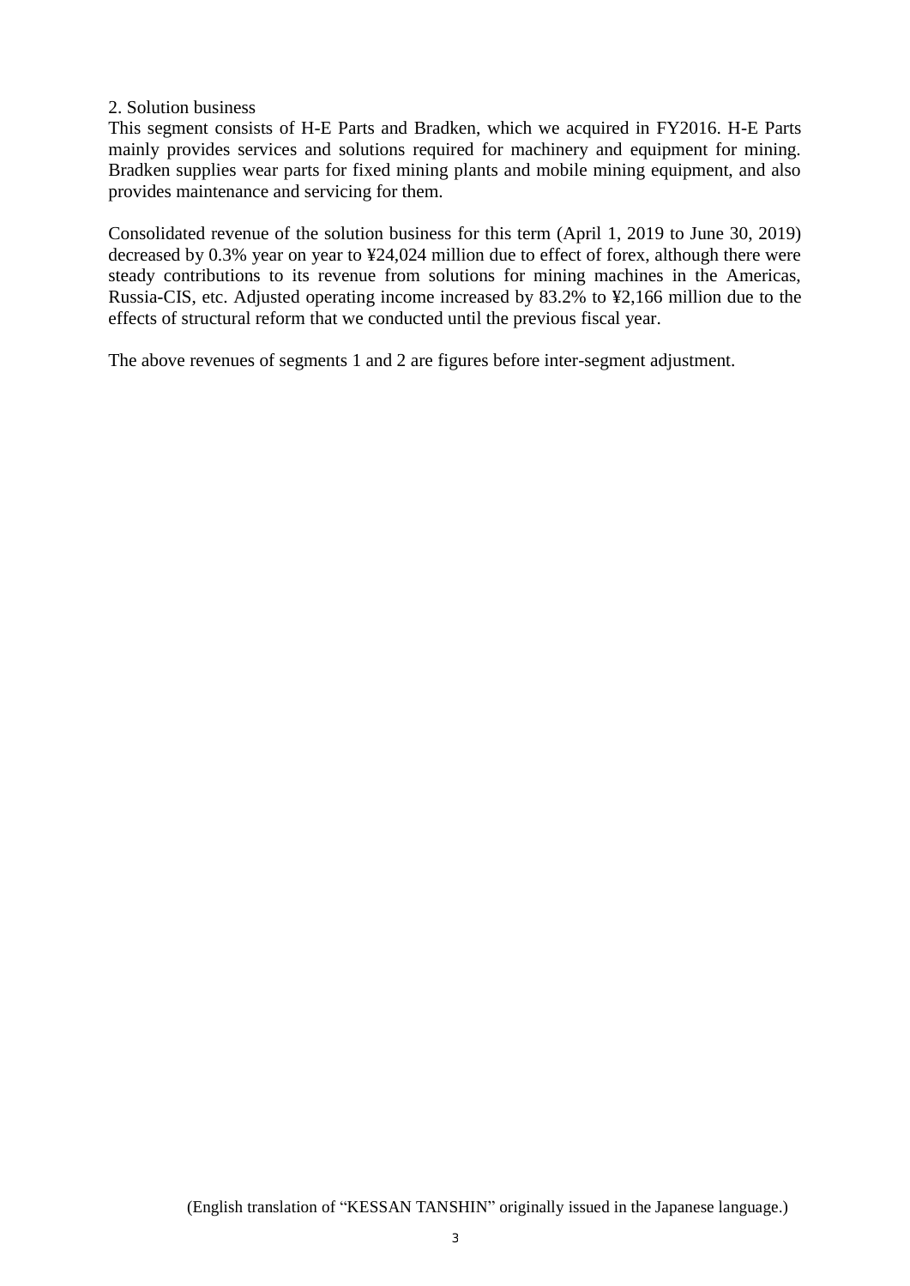#### 2. Solution business

This segment consists of H-E Parts and Bradken, which we acquired in FY2016. H-E Parts mainly provides services and solutions required for machinery and equipment for mining. Bradken supplies wear parts for fixed mining plants and mobile mining equipment, and also provides maintenance and servicing for them.

Consolidated revenue of the solution business for this term (April 1, 2019 to June 30, 2019) decreased by 0.3% year on year to ¥24,024 million due to effect of forex, although there were steady contributions to its revenue from solutions for mining machines in the Americas, Russia-CIS, etc. Adjusted operating income increased by 83.2% to ¥2,166 million due to the effects of structural reform that we conducted until the previous fiscal year.

The above revenues of segments 1 and 2 are figures before inter-segment adjustment.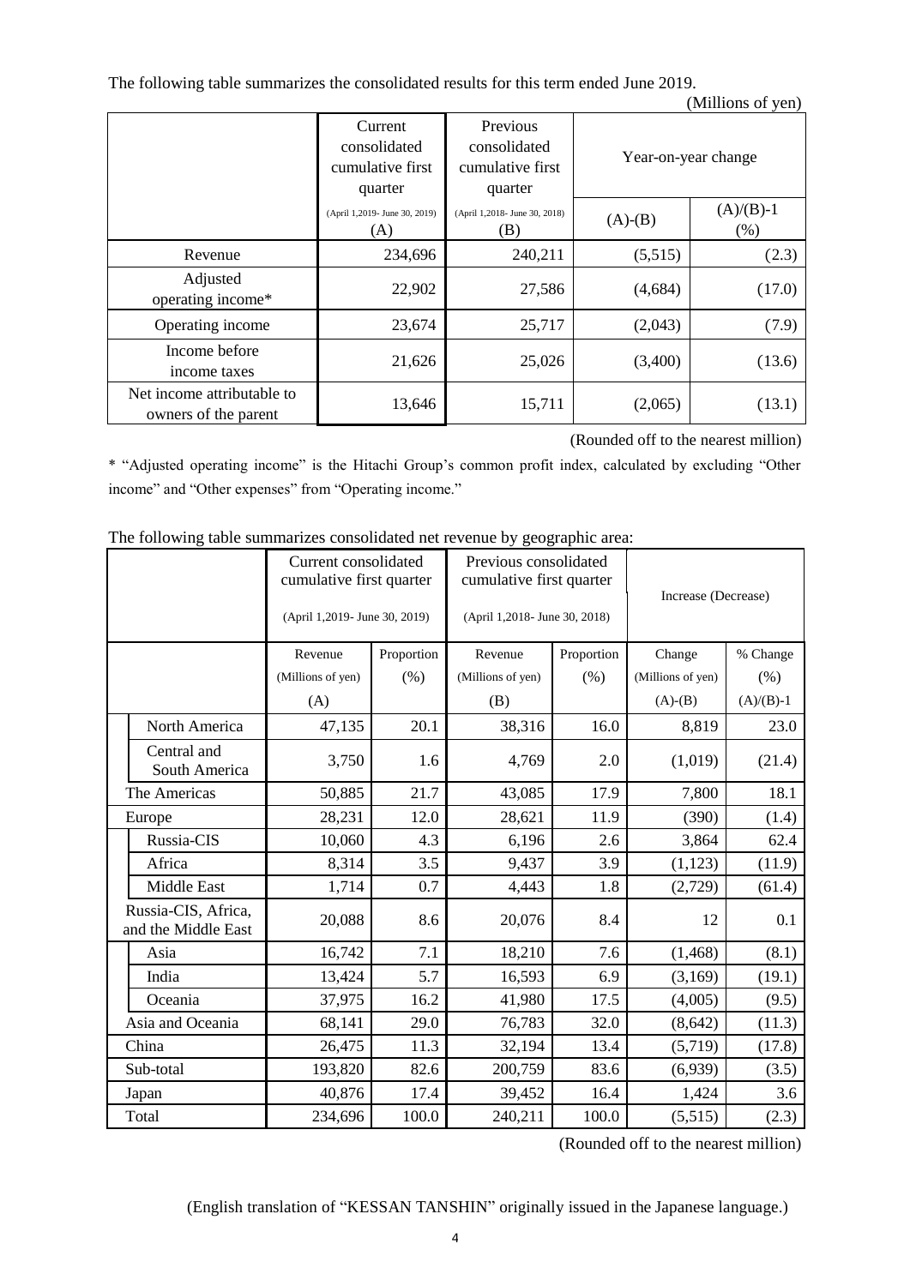The following table summarizes the consolidated results for this term ended June 2019. (Millions of yen)

|                                                    | Current<br>consolidated<br>cumulative first<br>quarter | Previous<br>consolidated<br>cumulative first<br>quarter | Year-on-year change |                     |
|----------------------------------------------------|--------------------------------------------------------|---------------------------------------------------------|---------------------|---------------------|
|                                                    | (April 1,2019- June 30, 2019)<br>(A)                   | (April 1,2018- June 30, 2018)<br>(B)                    | $(A)-(B)$           | $(A)/(B)-1$<br>(% ) |
| Revenue                                            | 234,696                                                | 240,211                                                 | (5,515)             | (2.3)               |
| Adjusted<br>operating income*                      | 22,902                                                 | 27,586                                                  | (4,684)             | (17.0)              |
| Operating income                                   | 23,674                                                 | 25,717                                                  | (2,043)             | (7.9)               |
| Income before<br>income taxes                      | 21,626                                                 | 25,026                                                  | (3,400)             | (13.6)              |
| Net income attributable to<br>owners of the parent | 13,646                                                 | 15,711                                                  | (2,065)             | (13.1)              |

(Rounded off to the nearest million)

\* "Adjusted operating income" is the Hitachi Group's common profit index, calculated by excluding "Other income" and "Other expenses" from "Operating income."

|                                            | Current consolidated<br>cumulative first quarter<br>(April 1,2019- June 30, 2019) |            | Previous consolidated<br>cumulative first quarter<br>(April 1,2018- June 30, 2018) |            | Increase (Decrease) |             |
|--------------------------------------------|-----------------------------------------------------------------------------------|------------|------------------------------------------------------------------------------------|------------|---------------------|-------------|
|                                            | Revenue                                                                           | Proportion | Revenue                                                                            | Proportion | Change              | % Change    |
|                                            | (Millions of yen)                                                                 | (% )       | (Millions of yen)                                                                  | (% )       | (Millions of yen)   | (% )        |
|                                            | (A)                                                                               |            | (B)                                                                                |            | $(A)-(B)$           | $(A)/(B)-1$ |
| North America                              | 47,135                                                                            | 20.1       | 38,316                                                                             | 16.0       | 8,819               | 23.0        |
| Central and<br>South America               | 3,750                                                                             | 1.6        | 4,769                                                                              | 2.0        | (1,019)             | (21.4)      |
| The Americas                               | 50,885                                                                            | 21.7       | 43,085                                                                             | 17.9       | 7,800               | 18.1        |
| Europe                                     | 28,231                                                                            | 12.0       | 28,621                                                                             | 11.9       | (390)               | (1.4)       |
| Russia-CIS                                 | 10,060                                                                            | 4.3        | 6,196                                                                              | 2.6        | 3,864               | 62.4        |
| Africa                                     | 8,314                                                                             | 3.5        | 9,437                                                                              | 3.9        | (1, 123)            | (11.9)      |
| Middle East                                | 1,714                                                                             | 0.7        | 4,443                                                                              | 1.8        | (2,729)             | (61.4)      |
| Russia-CIS, Africa,<br>and the Middle East | 20,088                                                                            | 8.6        | 20,076                                                                             | 8.4        | 12                  | 0.1         |
| Asia                                       | 16,742                                                                            | 7.1        | 18,210                                                                             | 7.6        | (1, 468)            | (8.1)       |
| India                                      | 13,424                                                                            | 5.7        | 16,593                                                                             | 6.9        | (3,169)             | (19.1)      |
| Oceania                                    | 37,975                                                                            | 16.2       | 41,980                                                                             | 17.5       | (4,005)             | (9.5)       |
| Asia and Oceania                           | 68,141                                                                            | 29.0       | 76,783                                                                             | 32.0       | (8, 642)            | (11.3)      |
| China                                      | 26,475                                                                            | 11.3       | 32,194                                                                             | 13.4       | (5,719)             | (17.8)      |
| Sub-total                                  | 193,820                                                                           | 82.6       | 200,759                                                                            | 83.6       | (6,939)             | (3.5)       |
| Japan                                      | 40,876                                                                            | 17.4       | 39,452                                                                             | 16.4       | 1,424               | 3.6         |
| Total                                      | 234,696                                                                           | 100.0      | 240,211                                                                            | 100.0      | (5,515)             | (2.3)       |

The following table summarizes consolidated net revenue by geographic area:

(Rounded off to the nearest million)

(English translation of "KESSAN TANSHIN" originally issued in the Japanese language.)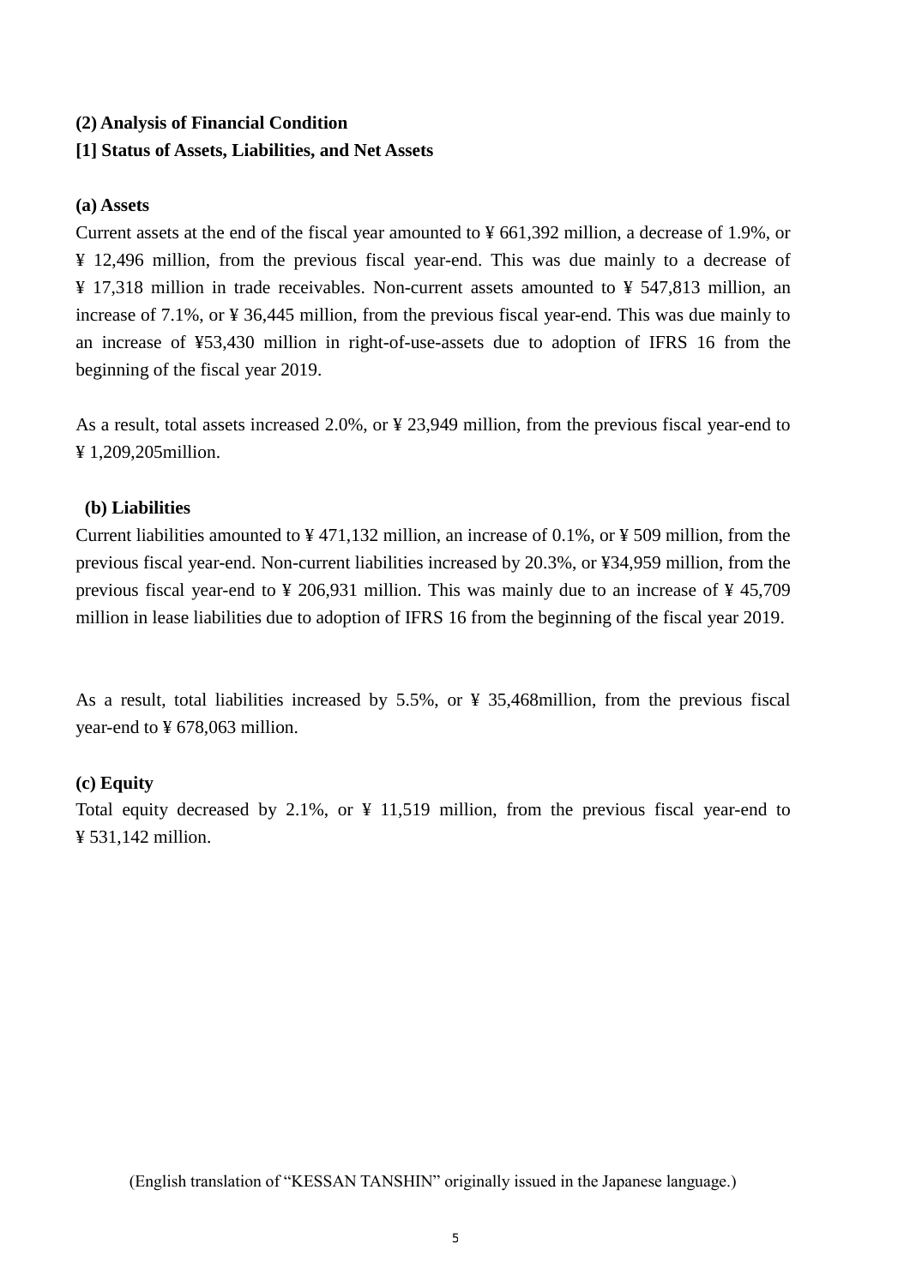## **(2) Analysis of Financial Condition**

## **[1] Status of Assets, Liabilities, and Net Assets**

#### **(a) Assets**

Current assets at the end of the fiscal year amounted to ¥ 661,392 million, a decrease of 1.9%, or ¥ 12,496 million, from the previous fiscal year-end. This was due mainly to a decrease of ¥ 17,318 million in trade receivables. Non-current assets amounted to ¥ 547,813 million, an increase of 7.1%, or ¥ 36,445 million, from the previous fiscal year-end. This was due mainly to an increase of ¥53,430 million in right-of-use-assets due to adoption of IFRS 16 from the beginning of the fiscal year 2019.

As a result, total assets increased 2.0%, or ¥ 23,949 million, from the previous fiscal year-end to ¥ 1,209,205million.

## **(b) Liabilities**

Current liabilities amounted to ¥ 471,132 million, an increase of 0.1%, or ¥ 509 million, from the previous fiscal year-end. Non-current liabilities increased by 20.3%, or ¥34,959 million, from the previous fiscal year-end to ¥ 206,931 million. This was mainly due to an increase of ¥ 45,709 million in lease liabilities due to adoption of IFRS 16 from the beginning of the fiscal year 2019.

As a result, total liabilities increased by 5.5%, or ¥ 35,468million, from the previous fiscal year-end to ¥ 678,063 million.

## **(c) Equity**

Total equity decreased by 2.1%, or ¥ 11,519 million, from the previous fiscal year-end to ¥ 531,142 million.

(English translation of "KESSAN TANSHIN" originally issued in the Japanese language.)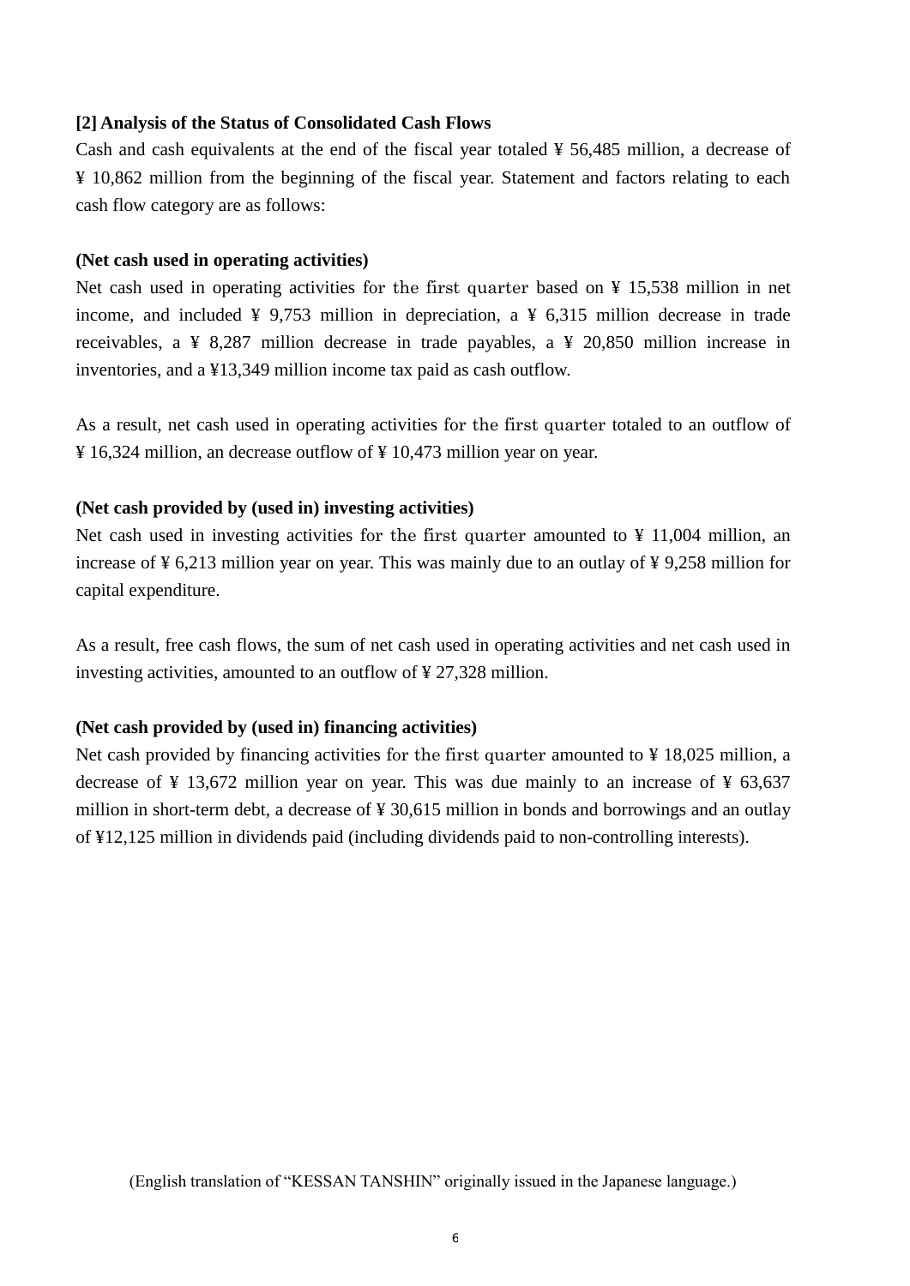#### **[2] Analysis of the Status of Consolidated Cash Flows**

Cash and cash equivalents at the end of the fiscal year totaled  $\frac{1}{2}$  56,485 million, a decrease of ¥ 10,862 million from the beginning of the fiscal year. Statement and factors relating to each cash flow category are as follows:

#### **(Net cash used in operating activities)**

Net cash used in operating activities for the first quarter based on ¥ 15,538 million in net income, and included  $\frac{1}{2}$  9,753 million in depreciation, a  $\frac{1}{2}$  6,315 million decrease in trade receivables, a ¥ 8,287 million decrease in trade payables, a ¥ 20,850 million increase in inventories, and a ¥13,349 million income tax paid as cash outflow.

As a result, net cash used in operating activities for the first quarter totaled to an outflow of ¥ 16,324 million, an decrease outflow of ¥ 10,473 million year on year.

#### **(Net cash provided by (used in) investing activities)**

Net cash used in investing activities for the first quarter amounted to  $\frac{1}{2}$  11,004 million, an increase of ¥ 6,213 million year on year. This was mainly due to an outlay of ¥ 9,258 million for capital expenditure.

As a result, free cash flows, the sum of net cash used in operating activities and net cash used in investing activities, amounted to an outflow of ¥ 27,328 million.

#### **(Net cash provided by (used in) financing activities)**

Net cash provided by financing activities for the first quarter amounted to ¥ 18,025 million, a decrease of  $\frac{1}{2}$  13,672 million year on year. This was due mainly to an increase of  $\frac{1}{2}$  63,637 million in short-term debt, a decrease of ¥ 30,615 million in bonds and borrowings and an outlay of ¥12,125 million in dividends paid (including dividends paid to non-controlling interests).

(English translation of "KESSAN TANSHIN" originally issued in the Japanese language.)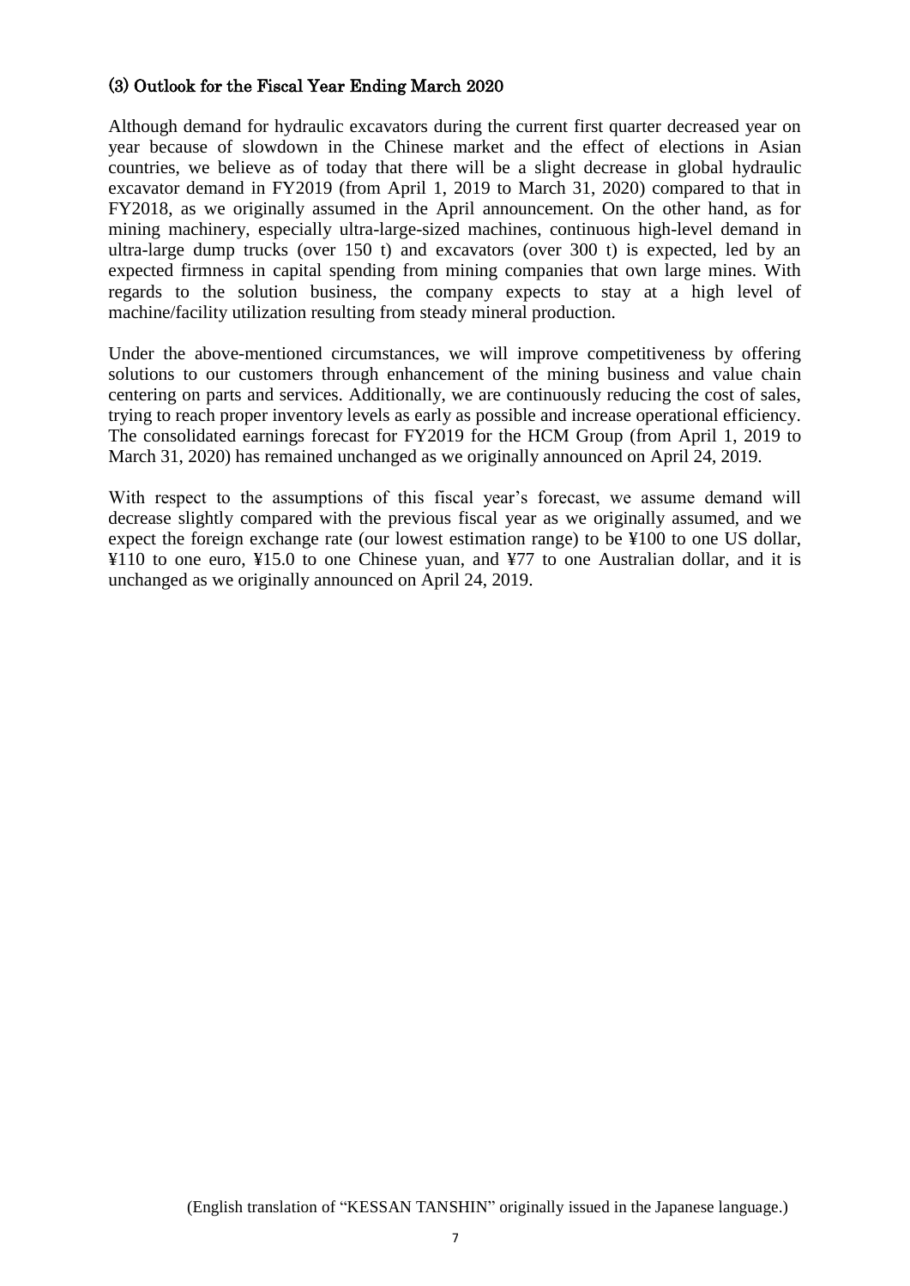## (3) Outlook for the Fiscal Year Ending March 2020

Although demand for hydraulic excavators during the current first quarter decreased year on year because of slowdown in the Chinese market and the effect of elections in Asian countries, we believe as of today that there will be a slight decrease in global hydraulic excavator demand in FY2019 (from April 1, 2019 to March 31, 2020) compared to that in FY2018, as we originally assumed in the April announcement. On the other hand, as for mining machinery, especially ultra-large-sized machines, continuous high-level demand in ultra-large dump trucks (over 150 t) and excavators (over 300 t) is expected, led by an expected firmness in capital spending from mining companies that own large mines. With regards to the solution business, the company expects to stay at a high level of machine/facility utilization resulting from steady mineral production.

Under the above-mentioned circumstances, we will improve competitiveness by offering solutions to our customers through enhancement of the mining business and value chain centering on parts and services. Additionally, we are continuously reducing the cost of sales, trying to reach proper inventory levels as early as possible and increase operational efficiency. The consolidated earnings forecast for FY2019 for the HCM Group (from April 1, 2019 to March 31, 2020) has remained unchanged as we originally announced on April 24, 2019.

With respect to the assumptions of this fiscal year's forecast, we assume demand will decrease slightly compared with the previous fiscal year as we originally assumed, and we expect the foreign exchange rate (our lowest estimation range) to be ¥100 to one US dollar, ¥110 to one euro, ¥15.0 to one Chinese yuan, and ¥77 to one Australian dollar, and it is unchanged as we originally announced on April 24, 2019.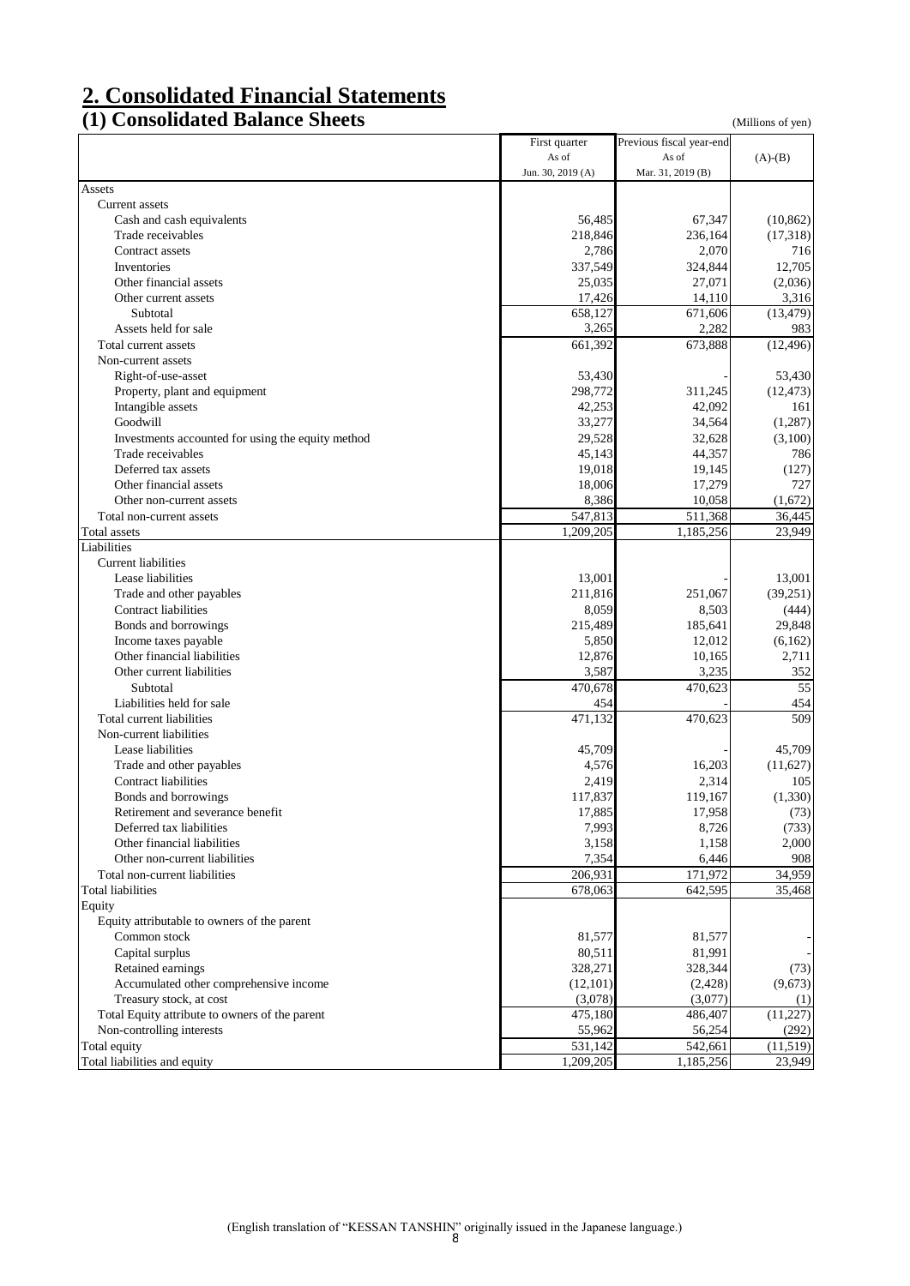# **2. Consolidated Financial Statements**

## **(1) Consolidated Balance Sheets** (Millions of yen)

|                                                         | First quarter     | Previous fiscal year-end |                   |
|---------------------------------------------------------|-------------------|--------------------------|-------------------|
|                                                         | As of             | As of                    | $(A)-(B)$         |
|                                                         | Jun. 30, 2019 (A) | Mar. 31, 2019 (B)        |                   |
| Assets                                                  |                   |                          |                   |
| Current assets                                          |                   |                          |                   |
| Cash and cash equivalents                               | 56,485            | 67,347                   | (10, 862)         |
| Trade receivables                                       | 218,846           | 236,164                  | (17,318)          |
| Contract assets                                         | 2,786             | 2,070                    | 716               |
| Inventories                                             | 337,549           | 324,844                  | 12,705            |
| Other financial assets                                  | 25,035            | 27,071                   | (2,036)           |
| Other current assets                                    | 17,426            | 14,110                   | 3,316             |
| Subtotal                                                | 658,127           | 671,606                  | (13, 479)         |
| Assets held for sale                                    | 3,265             | 2,282                    | 983               |
| Total current assets                                    | 661,392           | 673,888                  | (12, 496)         |
| Non-current assets                                      |                   |                          |                   |
| Right-of-use-asset                                      | 53,430            |                          | 53,430            |
| Property, plant and equipment                           | 298,772           | 311,245                  | (12, 473)         |
| Intangible assets                                       | 42,253            | 42,092                   | 161               |
| Goodwill                                                | 33,277            | 34,564                   | (1,287)           |
| Investments accounted for using the equity method       | 29,528            | 32,628                   | (3,100)           |
| Trade receivables                                       | 45,143            | 44,357                   | 786               |
| Deferred tax assets                                     | 19,018            | 19,145                   | (127)             |
| Other financial assets                                  | 18,006            | 17,279                   | 727               |
| Other non-current assets                                | 8,386             | 10,058                   | (1,672)           |
| Total non-current assets                                | 547,813           | 511,368                  | 36,445            |
| <b>Total</b> assets                                     | 1,209,205         | 1,185,256                | 23,949            |
| Liabilities                                             |                   |                          |                   |
| Current liabilities                                     |                   |                          |                   |
| Lease liabilities                                       | 13,001            |                          | 13,001            |
|                                                         | 211,816           | 251,067                  |                   |
| Trade and other payables<br><b>Contract liabilities</b> | 8,059             | 8,503                    | (39,251)<br>(444) |
|                                                         |                   |                          |                   |
| Bonds and borrowings                                    | 215,489           | 185,641                  | 29,848            |
| Income taxes payable<br>Other financial liabilities     | 5,850             | 12,012                   | (6,162)           |
|                                                         | 12,876            | 10,165                   | 2,711             |
| Other current liabilities                               | 3,587             | 3,235                    | 352               |
| Subtotal                                                | 470,678           | 470,623                  | 55                |
| Liabilities held for sale                               | 454               |                          | 454               |
| Total current liabilities                               | 471,132           | 470,623                  | 509               |
| Non-current liabilities                                 |                   |                          |                   |
| Lease liabilities                                       | 45,709            |                          | 45,709            |
| Trade and other payables                                | 4,576             | 16,203                   | (11,627)          |
| Contract liabilities                                    | 2,419             | 2,314                    | 105               |
| Bonds and borrowings                                    | 117,837           | 119,167                  | (1,330)           |
| Retirement and severance benefit                        | 17,885            | 17,958                   | (73)              |
| Deferred tax liabilities                                | 7,993             | 8,726                    | (733)             |
| Other financial liabilities                             | 3,158             | 1,158                    | 2,000             |
| Other non-current liabilities                           | 7,354             | 6,446                    | 908               |
| Total non-current liabilities                           | 206,931           | 171,972                  | 34,959            |
| <b>Total liabilities</b>                                | 678,063           | 642,595                  | 35,468            |
| Equity                                                  |                   |                          |                   |
| Equity attributable to owners of the parent             |                   |                          |                   |
| Common stock                                            | 81,577            | 81,577                   |                   |
| Capital surplus                                         | 80,511            | 81,991                   |                   |
| Retained earnings                                       | 328,271           | 328,344                  | (73)              |
| Accumulated other comprehensive income                  | (12,101)          | (2,428)                  | (9,673)           |
| Treasury stock, at cost                                 | (3,078)           | (3,077)                  | (1)               |
| Total Equity attribute to owners of the parent          | 475,180           | 486,407                  | (11, 227)         |
| Non-controlling interests                               | 55,962            | 56,254                   | (292)             |
| Total equity                                            | 531,142           | 542,661                  | (11,519)          |
| Total liabilities and equity                            | 1,209,205         | 1,185,256                | 23,949            |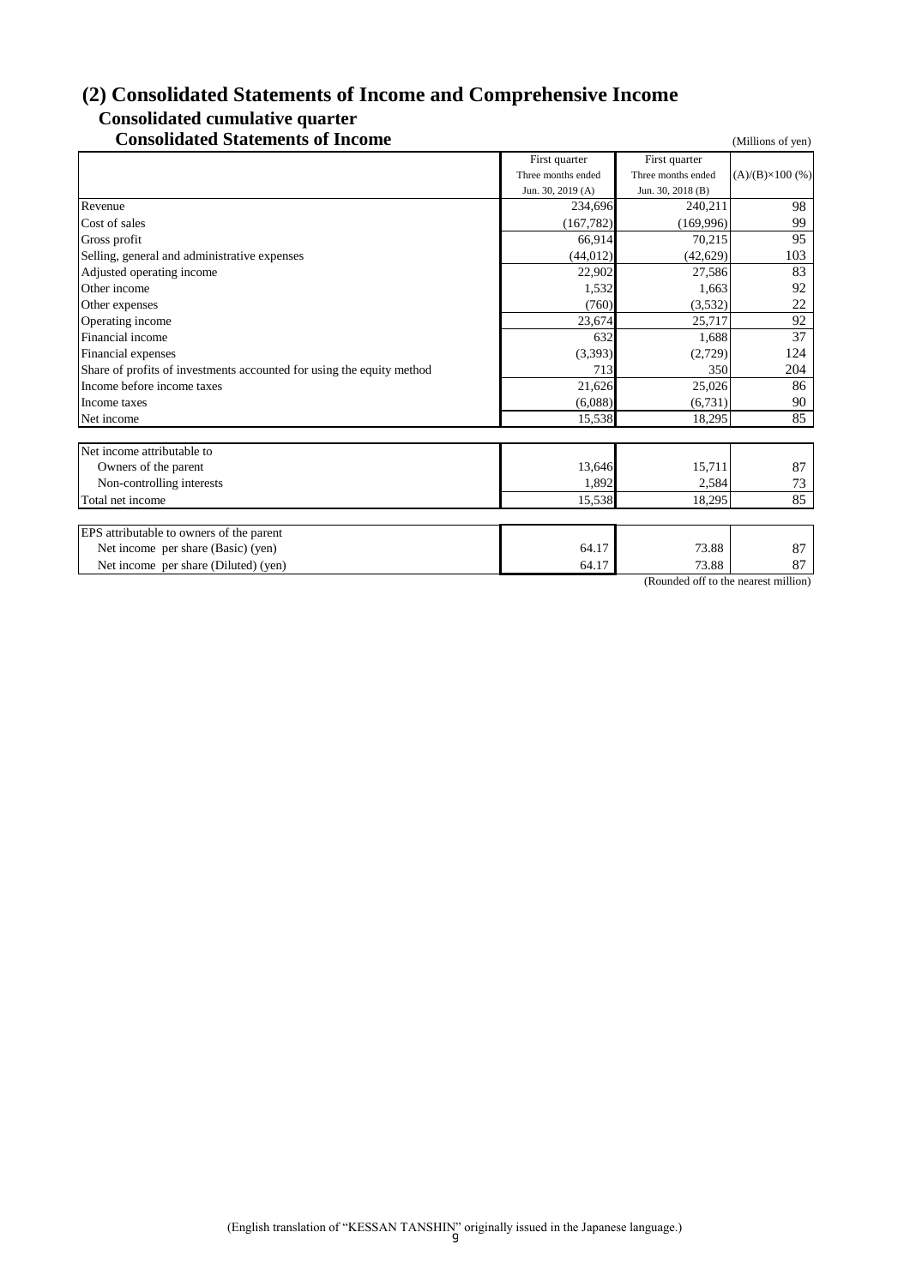# **(2) Consolidated Statements of Income and Comprehensive Income Consolidated cumulative quarter**

# **Consolidated Statements of Income** (Millions of yen)

|                                                                       | First quarter      | First quarter      |                         |
|-----------------------------------------------------------------------|--------------------|--------------------|-------------------------|
|                                                                       | Three months ended | Three months ended | $(A)/(B)\times 100$ (%) |
|                                                                       | Jun. 30, 2019 (A)  | Jun. 30, 2018 (B)  |                         |
| Revenue                                                               | 234,696            | 240,211            | 98                      |
| Cost of sales                                                         | (167, 782)         | (169,996)          | 99                      |
| Gross profit                                                          | 66,914             | 70,215             | 95                      |
| Selling, general and administrative expenses                          | (44, 012)          | (42, 629)          | 103                     |
| Adjusted operating income                                             | 22,902             | 27,586             | 83                      |
| Other income                                                          | 1,532              | 1,663              | 92                      |
| Other expenses                                                        | (760)              | (3,532)            | 22                      |
| Operating income                                                      | 23,674             | 25.717             | 92                      |
| Financial income                                                      | 632                | 1,688              | 37                      |
| Financial expenses                                                    | (3,393)            | (2,729)            | 124                     |
| Share of profits of investments accounted for using the equity method | 713                | 350                | 204                     |
| Income before income taxes                                            | 21,626             | 25,026             | 86                      |
| Income taxes                                                          | (6,088)            | (6,731)            | 90                      |
| Net income                                                            | 15,538             | 18,295             | 85                      |
|                                                                       |                    |                    |                         |
| Net income attributable to                                            |                    |                    |                         |
| Owners of the parent                                                  | 13,646             | 15,711             | 87                      |
| Non-controlling interests                                             | 1,892              | 2,584              | 73                      |
| Total net income                                                      | 15,538             | 18,295             | 85                      |
|                                                                       |                    |                    |                         |
| EPS attributable to owners of the parent                              |                    |                    |                         |
| Net income per share (Basic) (yen)                                    | 64.17              | 73.88              | 87                      |
| Net income per share (Diluted) (yen)                                  | 64.17              | 73.88              | 87                      |

(Rounded off to the nearest million)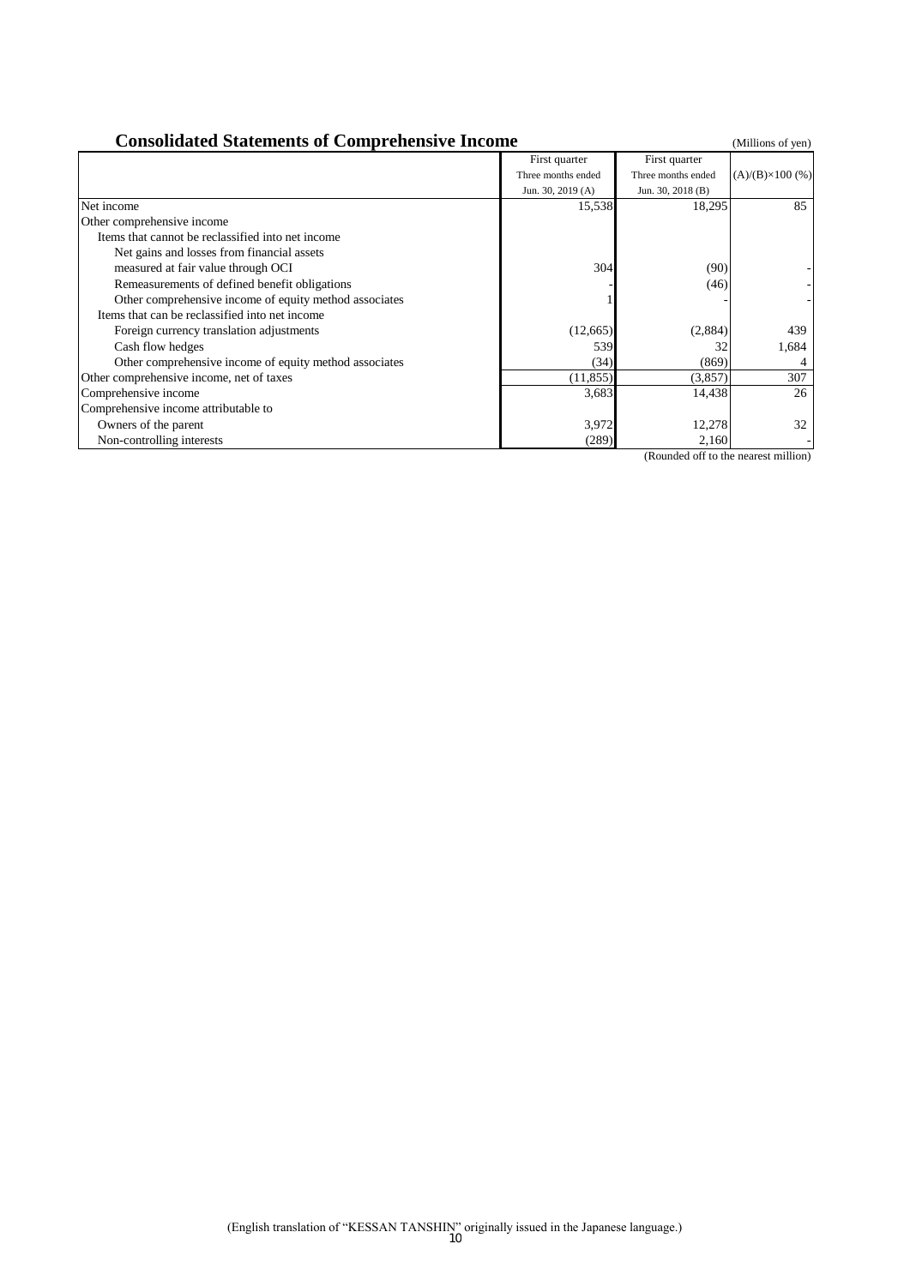| <b>Consolidated Statements of Comprehensive Income</b> |                    |                    |                         |  |  |
|--------------------------------------------------------|--------------------|--------------------|-------------------------|--|--|
|                                                        | First quarter      | First quarter      |                         |  |  |
|                                                        | Three months ended | Three months ended | $(A)/(B)\times 100$ (%) |  |  |
|                                                        | Jun. 30, 2019 (A)  | Jun. 30, 2018 (B)  |                         |  |  |
| Net income                                             | 15,538             | 18,295             | 85                      |  |  |
| Other comprehensive income                             |                    |                    |                         |  |  |
| Items that cannot be reclassified into net income      |                    |                    |                         |  |  |
| Net gains and losses from financial assets             |                    |                    |                         |  |  |
| measured at fair value through OCI                     | 304                | (90)               |                         |  |  |
| Remeasurements of defined benefit obligations          |                    | (46)               |                         |  |  |
| Other comprehensive income of equity method associates |                    |                    |                         |  |  |
| Items that can be reclassified into net income         |                    |                    |                         |  |  |
| Foreign currency translation adjustments               | (12,665)           | (2,884)            | 439                     |  |  |
| Cash flow hedges                                       | 539                | 32                 | 1,684                   |  |  |
| Other comprehensive income of equity method associates | (34)               | (869)              |                         |  |  |
| Other comprehensive income, net of taxes               | (11, 855)          | (3,857)            | 307                     |  |  |
| Comprehensive income                                   | 3,683              | 14,438             | 26                      |  |  |
| Comprehensive income attributable to                   |                    |                    |                         |  |  |
| Owners of the parent                                   | 3,972              | 12,278             | 32                      |  |  |
| Non-controlling interests                              | (289)              | 2,160              |                         |  |  |

(Rounded off to the nearest million)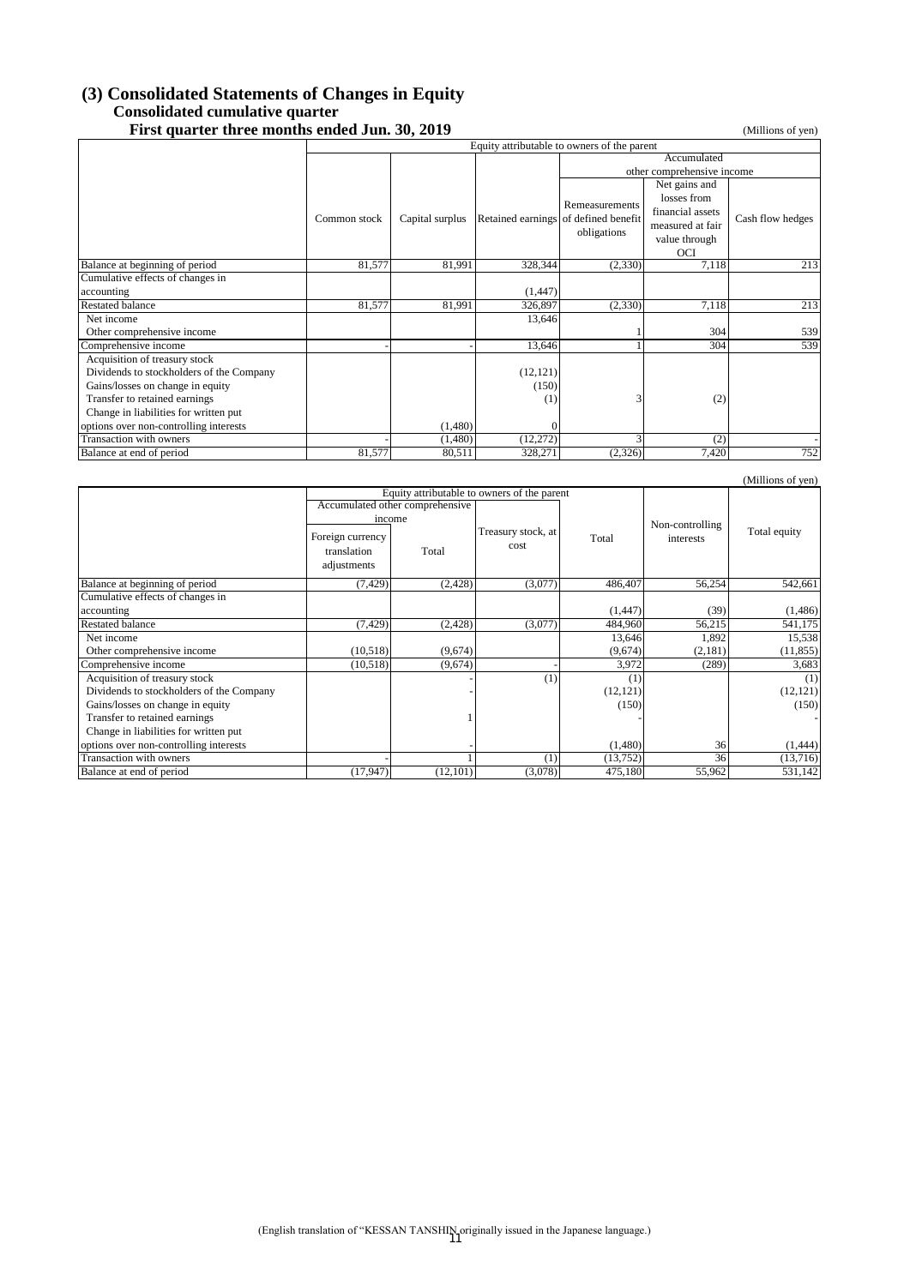# **(3) Consolidated Statements of Changes in Equity Consolidated cumulative quarter**

| First quarter three months ended Jun. 30, 2019 |                                                            |                 |                            |                    |                  | (Millions of yen) |  |
|------------------------------------------------|------------------------------------------------------------|-----------------|----------------------------|--------------------|------------------|-------------------|--|
|                                                | Equity attributable to owners of the parent<br>Accumulated |                 |                            |                    |                  |                   |  |
|                                                |                                                            |                 |                            |                    |                  |                   |  |
|                                                |                                                            |                 | other comprehensive income |                    |                  |                   |  |
|                                                |                                                            |                 |                            |                    | Net gains and    |                   |  |
|                                                |                                                            |                 |                            | Remeasurements     | losses from      |                   |  |
|                                                | Common stock                                               | Capital surplus | Retained earnings          | of defined benefit | financial assets | Cash flow hedges  |  |
|                                                |                                                            |                 |                            | obligations        | measured at fair |                   |  |
|                                                |                                                            |                 |                            |                    | value through    |                   |  |
|                                                |                                                            |                 |                            |                    | OCI              |                   |  |
| Balance at beginning of period                 | 81,577                                                     | 81,991          | 328,344                    | (2,330)            | 7,118            | 213               |  |
| Cumulative effects of changes in               |                                                            |                 |                            |                    |                  |                   |  |
| accounting                                     |                                                            |                 | (1, 447)                   |                    |                  |                   |  |
| <b>Restated balance</b>                        | 81,577                                                     | 81,991          | 326,897                    | (2,330)            | 7,118            | 213               |  |
| Net income                                     |                                                            |                 | 13,646                     |                    |                  |                   |  |
| Other comprehensive income                     |                                                            |                 |                            |                    | 304              | 539               |  |
| Comprehensive income                           |                                                            |                 | 13,646                     |                    | 304              | 539               |  |
| Acquisition of treasury stock                  |                                                            |                 |                            |                    |                  |                   |  |
| Dividends to stockholders of the Company       |                                                            |                 | (12, 121)                  |                    |                  |                   |  |
| Gains/losses on change in equity               |                                                            |                 | (150)                      |                    |                  |                   |  |
| Transfer to retained earnings                  |                                                            |                 | (1)                        | 3                  | (2)              |                   |  |
| Change in liabilities for written put          |                                                            |                 |                            |                    |                  |                   |  |
| options over non-controlling interests         |                                                            | (1,480)         | $\Omega$                   |                    |                  |                   |  |
| Transaction with owners                        |                                                            | (1,480)         | (12,272)                   | 3                  | (2)              |                   |  |
| Balance at end of period                       | 81,577                                                     | 80,511          | 328,271                    | (2,326)            | 7,420            | 752               |  |

| (Millions of yen)                        |                                                |                                             |                            |           |                 |              |
|------------------------------------------|------------------------------------------------|---------------------------------------------|----------------------------|-----------|-----------------|--------------|
|                                          |                                                | Equity attributable to owners of the parent |                            |           |                 |              |
|                                          | Accumulated other comprehensive                |                                             |                            |           |                 |              |
|                                          | income                                         |                                             |                            |           | Non-controlling |              |
|                                          | Foreign currency<br>translation<br>adjustments | Total                                       | Treasury stock, at<br>cost | Total     | interests       | Total equity |
| Balance at beginning of period           | (7, 429)                                       | (2, 428)                                    | (3,077)                    | 486,407   | 56,254          | 542,661      |
| Cumulative effects of changes in         |                                                |                                             |                            |           |                 |              |
| accounting                               |                                                |                                             |                            | (1, 447)  | (39)            | (1,486)      |
| Restated balance                         | (7, 429)                                       | (2, 428)                                    | (3,077)                    | 484,960   | 56,215          | 541,175      |
| Net income                               |                                                |                                             |                            | 13,646    | 1,892           | 15,538       |
| Other comprehensive income               | (10,518)                                       | (9,674)                                     |                            | (9,674)   | (2,181)         | (11, 855)    |
| Comprehensive income                     | (10, 518)                                      | (9,674)                                     |                            | 3,972     | (289)           | 3,683        |
| Acquisition of treasury stock            |                                                |                                             | (1)                        | (1)       |                 | (1)          |
| Dividends to stockholders of the Company |                                                |                                             |                            | (12, 121) |                 | (12, 121)    |
| Gains/losses on change in equity         |                                                |                                             |                            | (150)     |                 | (150)        |
| Transfer to retained earnings            |                                                |                                             |                            |           |                 |              |
| Change in liabilities for written put    |                                                |                                             |                            |           |                 |              |
| options over non-controlling interests   |                                                |                                             |                            | (1,480)   | 36              | (1,444)      |
| Transaction with owners                  |                                                |                                             | (1)                        | (13,752)  | 36              | (13,716)     |
| Balance at end of period                 | (17, 947)                                      | (12,101)                                    | (3,078)                    | 475,180   | 55,962          | 531,142      |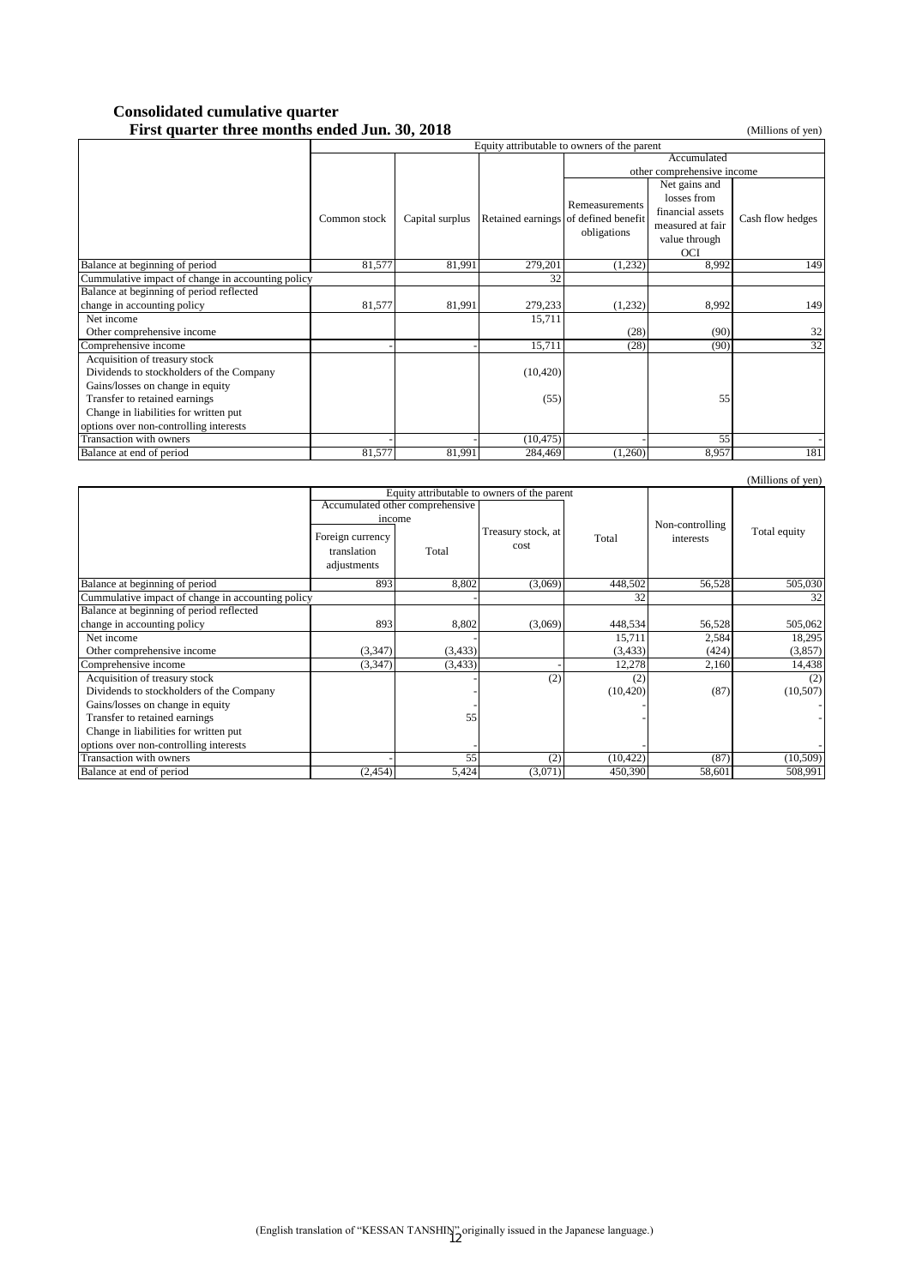#### **Consolidated cumulative quarter First quarter three months ended Jun. 30, 2018** (Millions of yen)

|                                                   | Equity attributable to owners of the parent |                 |                                      |                            |                  |                  |  |
|---------------------------------------------------|---------------------------------------------|-----------------|--------------------------------------|----------------------------|------------------|------------------|--|
|                                                   |                                             |                 |                                      | Accumulated                |                  |                  |  |
|                                                   |                                             |                 |                                      | other comprehensive income |                  |                  |  |
|                                                   |                                             |                 |                                      |                            | Net gains and    |                  |  |
|                                                   |                                             |                 |                                      | Remeasurements             | losses from      |                  |  |
|                                                   | Common stock                                | Capital surplus | Retained earnings of defined benefit |                            | financial assets | Cash flow hedges |  |
|                                                   |                                             |                 |                                      | obligations                | measured at fair |                  |  |
|                                                   |                                             |                 |                                      |                            | value through    |                  |  |
|                                                   |                                             |                 |                                      |                            | <b>OCI</b>       |                  |  |
| Balance at beginning of period                    | 81,577                                      | 81,991          | 279,201                              | (1,232)                    | 8,992            | 149              |  |
| Cummulative impact of change in accounting policy |                                             |                 | 32                                   |                            |                  |                  |  |
| Balance at beginning of period reflected          |                                             |                 |                                      |                            |                  |                  |  |
| change in accounting policy                       | 81,577                                      | 81,991          | 279,233                              | (1,232)                    | 8,992            | 149              |  |
| Net income                                        |                                             |                 | 15,711                               |                            |                  |                  |  |
| Other comprehensive income                        |                                             |                 |                                      | (28)                       | (90)             | 32               |  |
| Comprehensive income                              |                                             |                 | 15,711                               | (28)                       | (90)             | 32               |  |
| Acquisition of treasury stock                     |                                             |                 |                                      |                            |                  |                  |  |
| Dividends to stockholders of the Company          |                                             |                 | (10, 420)                            |                            |                  |                  |  |
| Gains/losses on change in equity                  |                                             |                 |                                      |                            |                  |                  |  |
| Transfer to retained earnings                     |                                             |                 | (55)                                 |                            | 55               |                  |  |
| Change in liabilities for written put             |                                             |                 |                                      |                            |                  |                  |  |
| options over non-controlling interests            |                                             |                 |                                      |                            |                  |                  |  |
| Transaction with owners                           |                                             |                 | (10, 475)                            |                            | 55               |                  |  |
| Balance at end of period                          | 81,577                                      | 81,991          | 284,469                              | (1,260)                    | 8,957            | 181              |  |

| (Millions of yen)                                 |                  |                                             |                    |               |                 |              |
|---------------------------------------------------|------------------|---------------------------------------------|--------------------|---------------|-----------------|--------------|
|                                                   |                  | Equity attributable to owners of the parent |                    |               |                 |              |
|                                                   |                  | Accumulated other comprehensive             |                    | Total<br>cost |                 |              |
|                                                   | income           |                                             |                    |               | Non-controlling |              |
|                                                   | Foreign currency |                                             | Treasury stock, at |               | interests       | Total equity |
|                                                   | translation      | Total                                       |                    |               |                 |              |
|                                                   | adjustments      |                                             |                    |               |                 |              |
| Balance at beginning of period                    | 893              | 8,802                                       | (3,069)            | 448,502       | 56,528          | 505,030      |
| Cummulative impact of change in accounting policy |                  |                                             |                    | 32            |                 | 32           |
| Balance at beginning of period reflected          |                  |                                             |                    |               |                 |              |
| change in accounting policy                       | 893              | 8,802                                       | (3,069)            | 448,534       | 56,528          | 505,062      |
| Net income                                        |                  |                                             |                    | 15,711        | 2,584           | 18,295       |
| Other comprehensive income                        | (3,347)          | (3, 433)                                    |                    | (3, 433)      | (424)           | (3,857)      |
| Comprehensive income                              | (3, 347)         | (3, 433)                                    |                    | 12,278        | 2,160           | 14,438       |
| Acquisition of treasury stock                     |                  |                                             | (2)                | (2)           |                 | (2)          |
| Dividends to stockholders of the Company          |                  |                                             |                    | (10, 420)     | (87)            | (10, 507)    |
| Gains/losses on change in equity                  |                  |                                             |                    |               |                 |              |
| Transfer to retained earnings                     |                  | 55                                          |                    |               |                 |              |
| Change in liabilities for written put             |                  |                                             |                    |               |                 |              |
| options over non-controlling interests            |                  |                                             |                    |               |                 |              |
| Transaction with owners                           |                  | 55                                          | (2)                | (10, 422)     | (87)            | (10, 509)    |
| Balance at end of period                          | (2, 454)         | 5,424                                       | (3,071)            | 450,390       | 58,601          | 508,991      |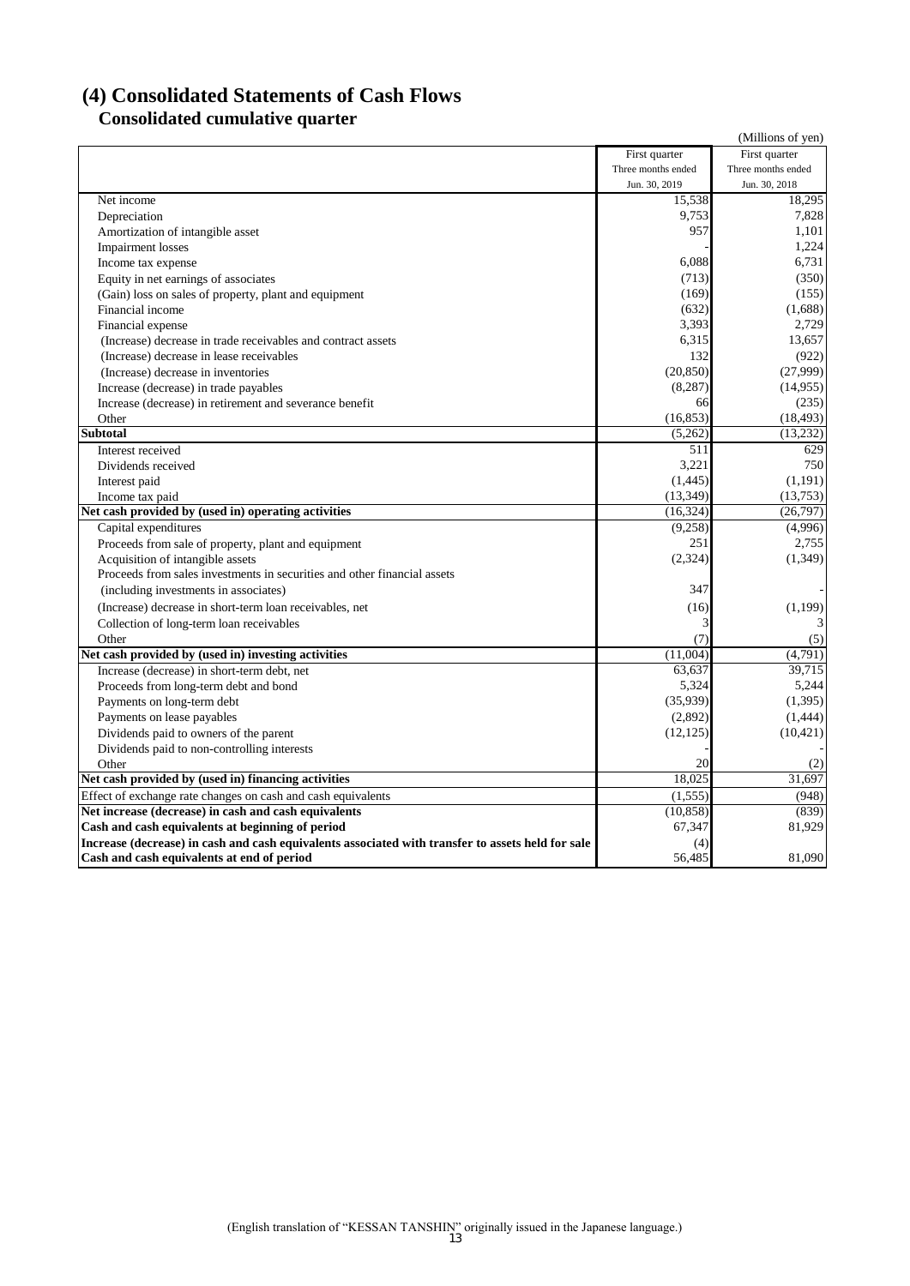# **(4) Consolidated Statements of Cash Flows Consolidated cumulative quarter**

|                                                                                                   |                    | (Millions of yen)  |
|---------------------------------------------------------------------------------------------------|--------------------|--------------------|
|                                                                                                   | First quarter      | First quarter      |
|                                                                                                   | Three months ended | Three months ended |
|                                                                                                   | Jun. 30, 2019      | Jun. 30, 2018      |
| Net income                                                                                        | 15,538             | 18,295             |
| Depreciation                                                                                      | 9,753              | 7,828              |
| Amortization of intangible asset                                                                  | 957                | 1,101              |
| <b>Impairment</b> losses                                                                          |                    | 1,224              |
| Income tax expense                                                                                | 6,088              | 6.731              |
| Equity in net earnings of associates                                                              | (713)              | (350)              |
| (Gain) loss on sales of property, plant and equipment                                             | (169)              | (155)              |
| Financial income                                                                                  | (632)              | (1,688)            |
| Financial expense                                                                                 | 3,393              | 2,729              |
| (Increase) decrease in trade receivables and contract assets                                      | 6,315              | 13,657             |
| (Increase) decrease in lease receivables                                                          | 132                | (922)              |
| (Increase) decrease in inventories                                                                | (20, 850)          | (27,999)           |
| Increase (decrease) in trade payables                                                             | (8, 287)           | (14,955)           |
| Increase (decrease) in retirement and severance benefit                                           | 66                 | (235)              |
| Other                                                                                             | (16, 853)          | (18, 493)          |
| <b>Subtotal</b>                                                                                   | (5,262)            | (13,232)           |
| Interest received                                                                                 | 511                | 629                |
| Dividends received                                                                                | 3,221              | 750                |
| Interest paid                                                                                     | (1,445)            | (1,191)            |
| Income tax paid                                                                                   | (13, 349)          | (13,753)           |
| Net cash provided by (used in) operating activities                                               | (16, 324)          | (26,797)           |
| Capital expenditures                                                                              | (9,258)            | (4,996)            |
| Proceeds from sale of property, plant and equipment                                               | 251                | 2,755              |
| Acquisition of intangible assets                                                                  | (2, 324)           | (1, 349)           |
| Proceeds from sales investments in securities and other financial assets                          |                    |                    |
| (including investments in associates)                                                             | 347                |                    |
| (Increase) decrease in short-term loan receivables, net                                           | (16)               | (1,199)            |
| Collection of long-term loan receivables                                                          | 3                  | 3                  |
| Other                                                                                             | (7)                | (5)                |
| Net cash provided by (used in) investing activities                                               | (11,004)           | (4,791)            |
| Increase (decrease) in short-term debt, net                                                       | 63,637             | 39,715             |
| Proceeds from long-term debt and bond                                                             | 5,324              | 5,244              |
| Payments on long-term debt                                                                        | (35,939)           | (1, 395)           |
| Payments on lease payables                                                                        | (2,892)            | (1, 444)           |
| Dividends paid to owners of the parent                                                            | (12, 125)          | (10, 421)          |
| Dividends paid to non-controlling interests                                                       |                    |                    |
| Other                                                                                             | 20                 | (2)                |
| Net cash provided by (used in) financing activities                                               | 18,025             | 31,697             |
| Effect of exchange rate changes on cash and cash equivalents                                      | (1, 555)           | (948)              |
| Net increase (decrease) in cash and cash equivalents                                              | (10, 858)          | (839)              |
| Cash and cash equivalents at beginning of period                                                  | 67,347             | 81,929             |
| Increase (decrease) in cash and cash equivalents associated with transfer to assets held for sale | (4)                |                    |
| Cash and cash equivalents at end of period                                                        | 56,485             | 81,090             |
|                                                                                                   |                    |                    |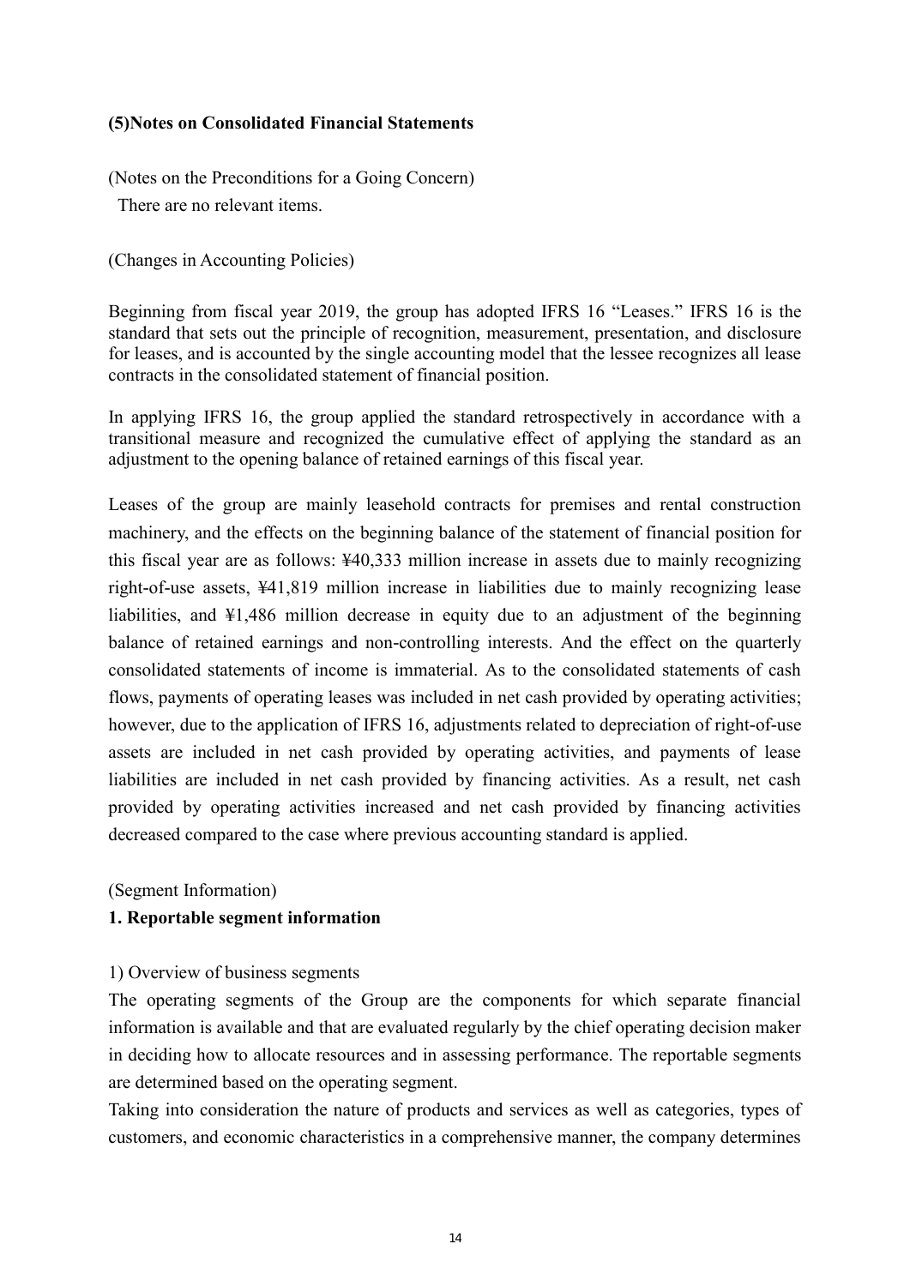## **(5)Notes on Consolidated Financial Statements**

(Notes on the Preconditions for a Going Concern)

There are no relevant items.

(Changes in Accounting Policies)

Beginning from fiscal year 2019, the group has adopted IFRS 16 "Leases." IFRS 16 is the standard that sets out the principle of recognition, measurement, presentation, and disclosure for leases, and is accounted by the single accounting model that the lessee recognizes all lease contracts in the consolidated statement of financial position.

In applying IFRS 16, the group applied the standard retrospectively in accordance with a transitional measure and recognized the cumulative effect of applying the standard as an adjustment to the opening balance of retained earnings of this fiscal year.

Leases of the group are mainly leasehold contracts for premises and rental construction machinery, and the effects on the beginning balance of the statement of financial position for this fiscal year are as follows: ¥40,333 million increase in assets due to mainly recognizing right-of-use assets, ¥41,819 million increase in liabilities due to mainly recognizing lease liabilities, and ¥1,486 million decrease in equity due to an adjustment of the beginning balance of retained earnings and non-controlling interests. And the effect on the quarterly consolidated statements of income is immaterial. As to the consolidated statements of cash flows, payments of operating leases was included in net cash provided by operating activities; however, due to the application of IFRS 16, adjustments related to depreciation of right-of-use assets are included in net cash provided by operating activities, and payments of lease liabilities are included in net cash provided by financing activities. As a result, net cash provided by operating activities increased and net cash provided by financing activities decreased compared to the case where previous accounting standard is applied.

(Segment Information)

## **1. Reportable segment information**

#### 1) Overview of business segments

The operating segments of the Group are the components for which separate financial information is available and that are evaluated regularly by the chief operating decision maker in deciding how to allocate resources and in assessing performance. The reportable segments are determined based on the operating segment.

Taking into consideration the nature of products and services as well as categories, types of customers, and economic characteristics in a comprehensive manner, the company determines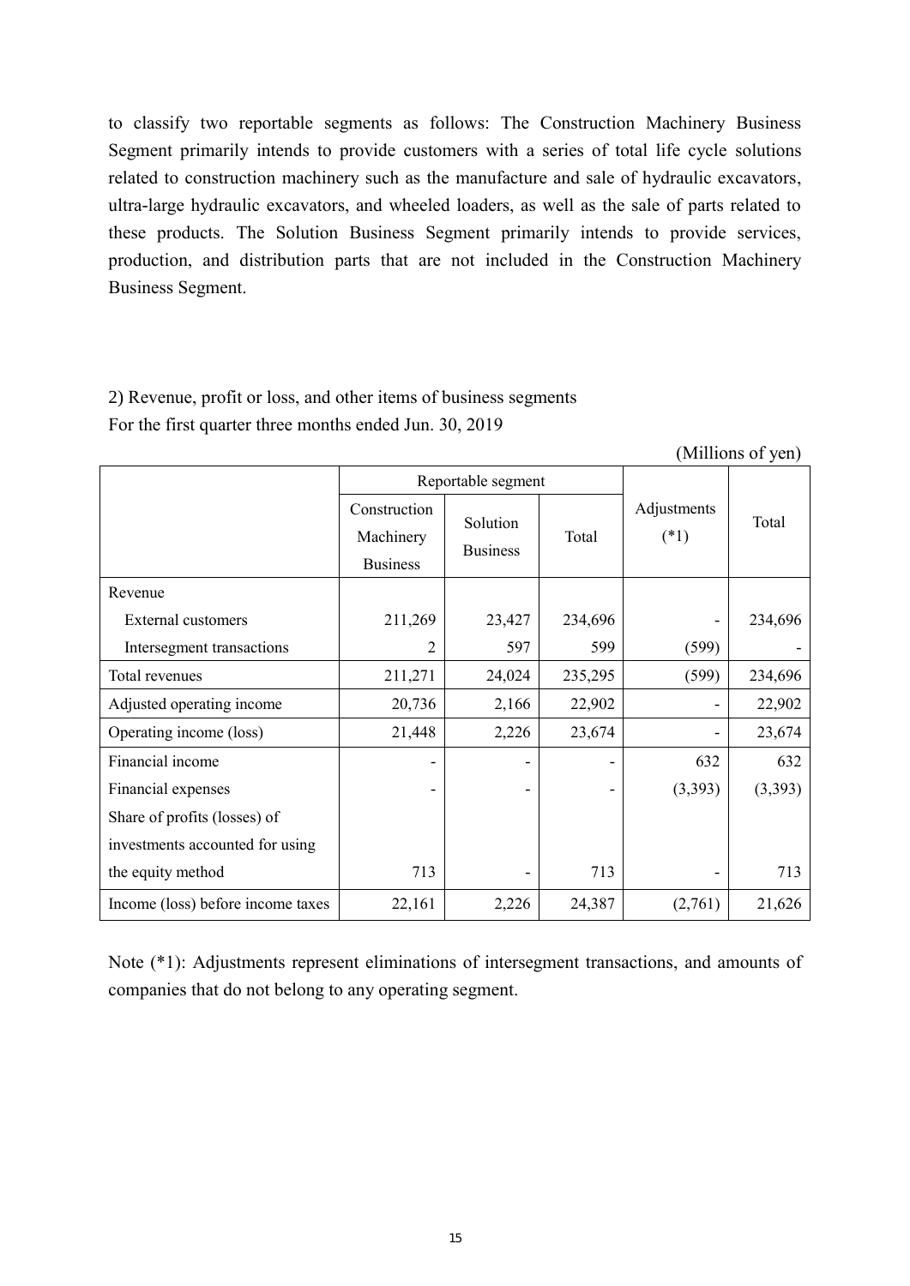to classify two reportable segments as follows: The Construction Machinery Business Segment primarily intends to provide customers with a series of total life cycle solutions related to construction machinery such as the manufacture and sale of hydraulic excavators, ultra-large hydraulic excavators, and wheeled loaders, as well as the sale of parts related to these products. The Solution Business Segment primarily intends to provide services, production, and distribution parts that are not included in the Construction Machinery Business Segment.

# 2) Revenue, profit or loss, and other items of business segments For the first quarter three months ended Jun. 30, 2019

(Millions of yen)

|                                   |                           | Reportable segment |         |                       |         |
|-----------------------------------|---------------------------|--------------------|---------|-----------------------|---------|
|                                   | Construction<br>Machinery | Solution           | Total   | Adjustments<br>$(*1)$ | Total   |
|                                   | <b>Business</b>           | <b>Business</b>    |         |                       |         |
| Revenue                           |                           |                    |         |                       |         |
| <b>External customers</b>         | 211,269                   | 23,427             | 234,696 |                       | 234,696 |
| Intersegment transactions         | 2                         | 597                | 599     | (599)                 |         |
| Total revenues                    | 211,271                   | 24,024             | 235,295 | (599)                 | 234,696 |
| Adjusted operating income         | 20,736                    | 2,166              | 22,902  |                       | 22,902  |
| Operating income (loss)           | 21,448                    | 2,226              | 23,674  |                       | 23,674  |
| Financial income                  |                           |                    |         | 632                   | 632     |
| Financial expenses                |                           |                    |         | (3,393)               | (3,393) |
| Share of profits (losses) of      |                           |                    |         |                       |         |
| investments accounted for using   |                           |                    |         |                       |         |
| the equity method                 | 713                       |                    | 713     |                       | 713     |
| Income (loss) before income taxes | 22,161                    | 2,226              | 24,387  | (2,761)               | 21,626  |

Note (\*1): Adjustments represent eliminations of intersegment transactions, and amounts of companies that do not belong to any operating segment.